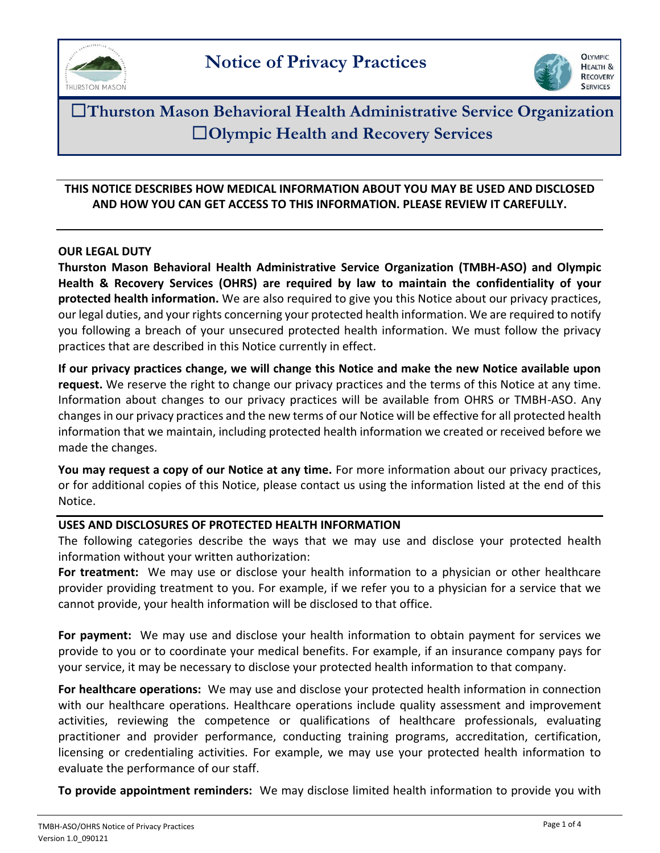



☐**Thurston Mason Behavioral Health Administrative Service Organization** ☐**Olympic Health and Recovery Services**

## **THIS NOTICE DESCRIBES HOW MEDICAL INFORMATION ABOUT YOU MAY BE USED AND DISCLOSED AND HOW YOU CAN GET ACCESS TO THIS INFORMATION. PLEASE REVIEW IT CAREFULLY.**

### **OUR LEGAL DUTY**

**Thurston Mason Behavioral Health Administrative Service Organization (TMBH-ASO) and Olympic Health & Recovery Services (OHRS) are required by law to maintain the confidentiality of your protected health information.** We are also required to give you this Notice about our privacy practices, our legal duties, and your rights concerning your protected health information. We are required to notify you following a breach of your unsecured protected health information. We must follow the privacy practices that are described in this Notice currently in effect.

**If our privacy practices change, we will change this Notice and make the new Notice available upon request.** We reserve the right to change our privacy practices and the terms of this Notice at any time. Information about changes to our privacy practices will be available from OHRS or TMBH-ASO. Any changes in our privacy practices and the new terms of our Notice will be effective for all protected health information that we maintain, including protected health information we created or received before we made the changes.

**You may request a copy of our Notice at any time.** For more information about our privacy practices, or for additional copies of this Notice, please contact us using the information listed at the end of this Notice.

#### **USES AND DISCLOSURES OF PROTECTED HEALTH INFORMATION**

The following categories describe the ways that we may use and disclose your protected health information without your written authorization:

**For treatment:** We may use or disclose your health information to a physician or other healthcare provider providing treatment to you. For example, if we refer you to a physician for a service that we cannot provide, your health information will be disclosed to that office.

**For payment:** We may use and disclose your health information to obtain payment for services we provide to you or to coordinate your medical benefits. For example, if an insurance company pays for your service, it may be necessary to disclose your protected health information to that company.

**For healthcare operations:** We may use and disclose your protected health information in connection with our healthcare operations. Healthcare operations include quality assessment and improvement activities, reviewing the competence or qualifications of healthcare professionals, evaluating practitioner and provider performance, conducting training programs, accreditation, certification, licensing or credentialing activities. For example, we may use your protected health information to evaluate the performance of our staff.

**To provide appointment reminders:** We may disclose limited health information to provide you with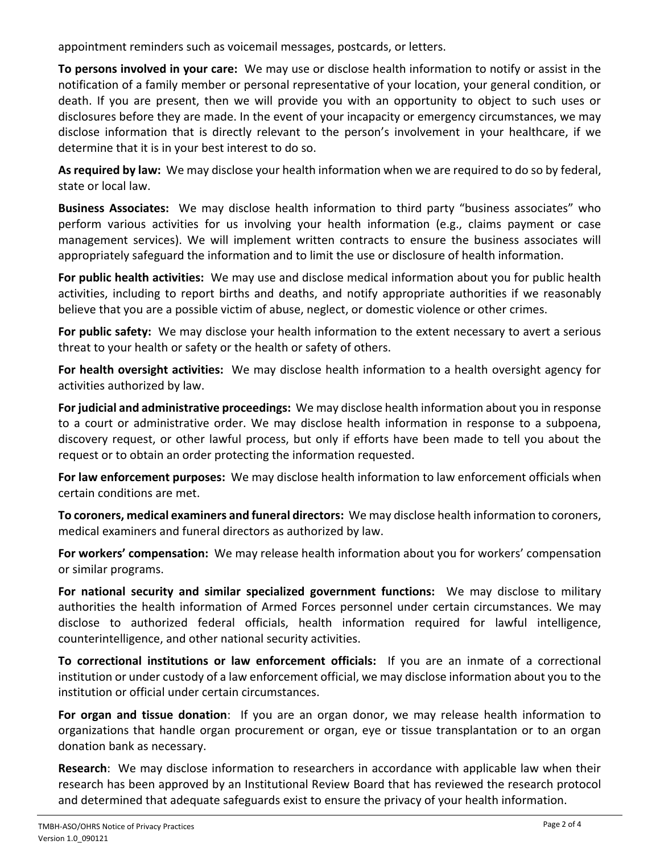appointment reminders such as voicemail messages, postcards, or letters.

**To persons involved in your care:** We may use or disclose health information to notify or assist in the notification of a family member or personal representative of your location, your general condition, or death. If you are present, then we will provide you with an opportunity to object to such uses or disclosures before they are made. In the event of your incapacity or emergency circumstances, we may disclose information that is directly relevant to the person's involvement in your healthcare, if we determine that it is in your best interest to do so.

**As required by law:** We may disclose your health information when we are required to do so by federal, state or local law.

**Business Associates:** We may disclose health information to third party "business associates" who perform various activities for us involving your health information (e.g., claims payment or case management services). We will implement written contracts to ensure the business associates will appropriately safeguard the information and to limit the use or disclosure of health information.

**For public health activities:** We may use and disclose medical information about you for public health activities, including to report births and deaths, and notify appropriate authorities if we reasonably believe that you are a possible victim of abuse, neglect, or domestic violence or other crimes.

**For public safety:** We may disclose your health information to the extent necessary to avert a serious threat to your health or safety or the health or safety of others.

**For health oversight activities:** We may disclose health information to a health oversight agency for activities authorized by law.

**For judicial and administrative proceedings:** We may disclose health information about you in response to a court or administrative order. We may disclose health information in response to a subpoena, discovery request, or other lawful process, but only if efforts have been made to tell you about the request or to obtain an order protecting the information requested.

**For law enforcement purposes:** We may disclose health information to law enforcement officials when certain conditions are met.

**To coroners, medical examiners and funeral directors:** We may disclose health information to coroners, medical examiners and funeral directors as authorized by law.

**For workers' compensation:** We may release health information about you for workers' compensation or similar programs.

**For national security and similar specialized government functions:** We may disclose to military authorities the health information of Armed Forces personnel under certain circumstances. We may disclose to authorized federal officials, health information required for lawful intelligence, counterintelligence, and other national security activities.

**To correctional institutions or law enforcement officials:** If you are an inmate of a correctional institution or under custody of a law enforcement official, we may disclose information about you to the institution or official under certain circumstances.

**For organ and tissue donation**: If you are an organ donor, we may release health information to organizations that handle organ procurement or organ, eye or tissue transplantation or to an organ donation bank as necessary.

**Research**: We may disclose information to researchers in accordance with applicable law when their research has been approved by an Institutional Review Board that has reviewed the research protocol and determined that adequate safeguards exist to ensure the privacy of your health information.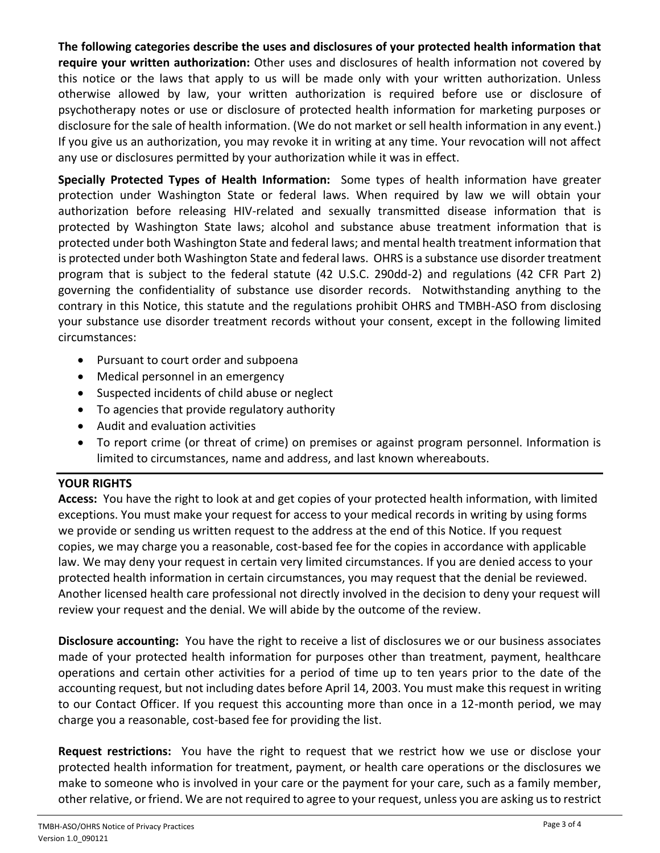# **The following categories describe the uses and disclosures of your protected health information that require your written authorization:** Other uses and disclosures of health information not covered by this notice or the laws that apply to us will be made only with your written authorization. Unless otherwise allowed by law, your written authorization is required before use or disclosure of psychotherapy notes or use or disclosure of protected health information for marketing purposes or disclosure for the sale of health information. (We do not market or sell health information in any event.) If you give us an authorization, you may revoke it in writing at any time. Your revocation will not affect any use or disclosures permitted by your authorization while it was in effect.

**Specially Protected Types of Health Information:** Some types of health information have greater protection under Washington State or federal laws. When required by law we will obtain your authorization before releasing HIV-related and sexually transmitted disease information that is protected by Washington State laws; alcohol and substance abuse treatment information that is protected under both Washington State and federal laws; and mental health treatment information that is protected under both Washington State and federal laws. OHRS is a substance use disorder treatment program that is subject to the federal statute (42 U.S.C. 290dd-2) and regulations (42 CFR Part 2) governing the confidentiality of substance use disorder records. Notwithstanding anything to the contrary in this Notice, this statute and the regulations prohibit OHRS and TMBH-ASO from disclosing your substance use disorder treatment records without your consent, except in the following limited circumstances:

- Pursuant to court order and subpoena
- Medical personnel in an emergency
- Suspected incidents of child abuse or neglect
- To agencies that provide regulatory authority
- Audit and evaluation activities
- To report crime (or threat of crime) on premises or against program personnel. Information is limited to circumstances, name and address, and last known whereabouts.

# **YOUR RIGHTS**

**Access:** You have the right to look at and get copies of your protected health information, with limited exceptions. You must make your request for access to your medical records in writing by using forms we provide or sending us written request to the address at the end of this Notice. If you request copies, we may charge you a reasonable, cost-based fee for the copies in accordance with applicable law. We may deny your request in certain very limited circumstances. If you are denied access to your protected health information in certain circumstances, you may request that the denial be reviewed. Another licensed health care professional not directly involved in the decision to deny your request will review your request and the denial. We will abide by the outcome of the review.

**Disclosure accounting:** You have the right to receive a list of disclosures we or our business associates made of your protected health information for purposes other than treatment, payment, healthcare operations and certain other activities for a period of time up to ten years prior to the date of the accounting request, but not including dates before April 14, 2003. You must make this request in writing to our Contact Officer. If you request this accounting more than once in a 12-month period, we may charge you a reasonable, cost-based fee for providing the list.

**Request restrictions:** You have the right to request that we restrict how we use or disclose your protected health information for treatment, payment, or health care operations or the disclosures we make to someone who is involved in your care or the payment for your care, such as a family member, other relative, or friend. We are not required to agree to your request, unless you are asking us to restrict